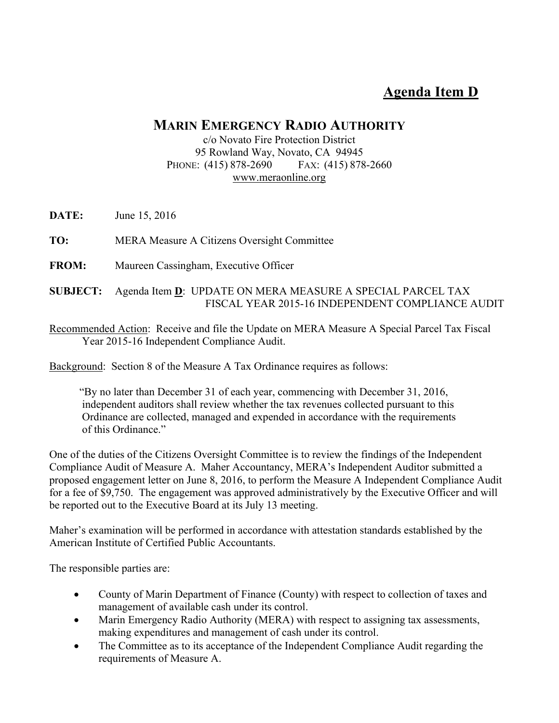# **Agenda Item D**

## **MARIN EMERGENCY RADIO AUTHORITY**

#### c/o Novato Fire Protection District 95 Rowland Way, Novato, CA 94945 PHONE: (415) 878-2690 FAX: (415) 878-2660 www.meraonline.org

**DATE:** June 15, 2016

**TO:** MERA Measure A Citizens Oversight Committee

**FROM:** Maureen Cassingham, Executive Officer

### **SUBJECT:** Agenda Item **D**: UPDATE ON MERA MEASURE A SPECIAL PARCEL TAX FISCAL YEAR 2015-16 INDEPENDENT COMPLIANCE AUDIT

Recommended Action: Receive and file the Update on MERA Measure A Special Parcel Tax Fiscal Year 2015-16 Independent Compliance Audit.

Background: Section 8 of the Measure A Tax Ordinance requires as follows:

 "By no later than December 31 of each year, commencing with December 31, 2016, independent auditors shall review whether the tax revenues collected pursuant to this Ordinance are collected, managed and expended in accordance with the requirements of this Ordinance."

One of the duties of the Citizens Oversight Committee is to review the findings of the Independent Compliance Audit of Measure A. Maher Accountancy, MERA's Independent Auditor submitted a proposed engagement letter on June 8, 2016, to perform the Measure A Independent Compliance Audit for a fee of \$9,750. The engagement was approved administratively by the Executive Officer and will be reported out to the Executive Board at its July 13 meeting.

Maher's examination will be performed in accordance with attestation standards established by the American Institute of Certified Public Accountants.

The responsible parties are:

- County of Marin Department of Finance (County) with respect to collection of taxes and management of available cash under its control.
- Marin Emergency Radio Authority (MERA) with respect to assigning tax assessments, making expenditures and management of cash under its control.
- The Committee as to its acceptance of the Independent Compliance Audit regarding the requirements of Measure A.